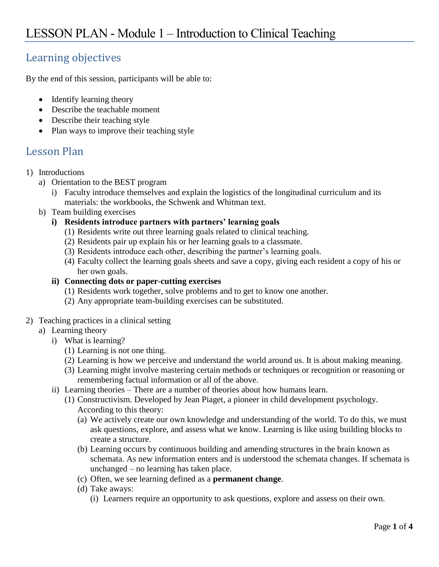## Learning objectives

By the end of this session, participants will be able to:

- Identify learning theory
- Describe the teachable moment
- Describe their teaching style
- Plan ways to improve their teaching style

## Lesson Plan

- 1) Introductions
	- a) Orientation to the BEST program
		- i) Faculty introduce themselves and explain the logistics of the longitudinal curriculum and its materials: the workbooks, the Schwenk and Whitman text.
	- b) Team building exercises
		- **i) Residents introduce partners with partners' learning goals**
			- (1) Residents write out three learning goals related to clinical teaching.
			- (2) Residents pair up explain his or her learning goals to a classmate.
			- (3) Residents introduce each other, describing the partner's learning goals.
			- (4) Faculty collect the learning goals sheets and save a copy, giving each resident a copy of his or her own goals.
		- **ii) Connecting dots or paper-cutting exercises**
			- (1) Residents work together, solve problems and to get to know one another.
			- (2) Any appropriate team-building exercises can be substituted.

## 2) Teaching practices in a clinical setting

- a) Learning theory
	- i) What is learning?
		- (1) Learning is not one thing.
		- (2) Learning is how we perceive and understand the world around us. It is about making meaning.
		- (3) Learning might involve mastering certain methods or techniques or recognition or reasoning or remembering factual information or all of the above.
	- ii) Learning theories There are a number of theories about how humans learn.
		- (1) Constructivism. Developed by Jean Piaget, a pioneer in child development psychology. According to this theory:
			- (a) We actively create our own knowledge and understanding of the world. To do this, we must ask questions, explore, and assess what we know. Learning is like using building blocks to create a structure.
			- (b) Learning occurs by continuous building and amending structures in the brain known as schemata. As new information enters and is understood the schemata changes. If schemata is unchanged – no learning has taken place.
			- (c) Often, we see learning defined as a **permanent change**.
			- (d) Take aways:
				- (i) Learners require an opportunity to ask questions, explore and assess on their own.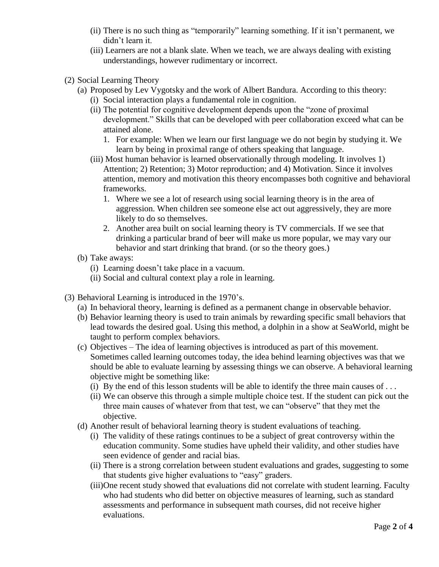- (ii) There is no such thing as "temporarily" learning something. If it isn't permanent, we didn't learn it.
- (iii) Learners are not a blank slate. When we teach, we are always dealing with existing understandings, however rudimentary or incorrect.
- (2) Social Learning Theory
	- (a) Proposed by Lev Vygotsky and the work of Albert Bandura. According to this theory:
		- (i) Social interaction plays a fundamental role in cognition.
		- (ii) The potential for cognitive development depends upon the "zone of proximal development." Skills that can be developed with peer collaboration exceed what can be attained alone.
			- 1. For example: When we learn our first language we do not begin by studying it. We learn by being in proximal range of others speaking that language.
		- (iii) Most human behavior is learned observationally through modeling. It involves 1) Attention; 2) Retention; 3) Motor reproduction; and 4) Motivation. Since it involves attention, memory and motivation this theory encompasses both cognitive and behavioral frameworks.
			- 1. Where we see a lot of research using social learning theory is in the area of aggression. When children see someone else act out aggressively, they are more likely to do so themselves.
			- 2. Another area built on social learning theory is TV commercials. If we see that drinking a particular brand of beer will make us more popular, we may vary our behavior and start drinking that brand. (or so the theory goes.)
	- (b) Take aways:
		- (i) Learning doesn't take place in a vacuum.
		- (ii) Social and cultural context play a role in learning.
- (3) Behavioral Learning is introduced in the 1970's.
	- (a) In behavioral theory, learning is defined as a permanent change in observable behavior.
	- (b) Behavior learning theory is used to train animals by rewarding specific small behaviors that lead towards the desired goal. Using this method, a dolphin in a show at SeaWorld, might be taught to perform complex behaviors.
	- (c) Objectives The idea of learning objectives is introduced as part of this movement. Sometimes called learning outcomes today, the idea behind learning objectives was that we should be able to evaluate learning by assessing things we can observe. A behavioral learning objective might be something like:
		- (i) By the end of this lesson students will be able to identify the three main causes of  $\dots$
		- (ii) We can observe this through a simple multiple choice test. If the student can pick out the three main causes of whatever from that test, we can "observe" that they met the objective.
	- (d) Another result of behavioral learning theory is student evaluations of teaching.
		- (i) The validity of these ratings continues to be a subject of great controversy within the education community. Some studies have upheld their validity, and other studies have seen evidence of gender and racial bias.
		- (ii) There is a strong correlation between student evaluations and grades, suggesting to some that students give higher evaluations to "easy" graders.
		- (iii)One recent study showed that evaluations did not correlate with student learning. Faculty who had students who did better on objective measures of learning, such as standard assessments and performance in subsequent math courses, did not receive higher evaluations.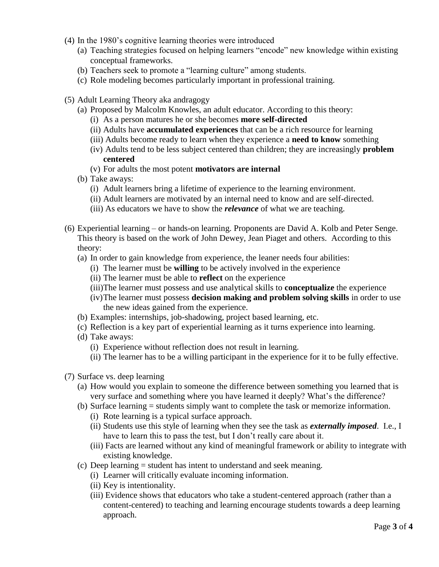- (4) In the 1980's cognitive learning theories were introduced
	- (a) Teaching strategies focused on helping learners "encode" new knowledge within existing conceptual frameworks.
	- (b) Teachers seek to promote a "learning culture" among students.
	- (c) Role modeling becomes particularly important in professional training.
- (5) Adult Learning Theory aka andragogy
	- (a) Proposed by Malcolm Knowles, an adult educator. According to this theory:
		- (i) As a person matures he or she becomes **more self-directed**
		- (ii) Adults have **accumulated experiences** that can be a rich resource for learning
		- (iii) Adults become ready to learn when they experience a **need to know** something
		- (iv) Adults tend to be less subject centered than children; they are increasingly **problem centered**
		- (v) For adults the most potent **motivators are internal**
	- (b) Take aways:
		- (i) Adult learners bring a lifetime of experience to the learning environment.
		- (ii) Adult learners are motivated by an internal need to know and are self-directed.
		- (iii) As educators we have to show the *relevance* of what we are teaching.
- (6) Experiential learning or hands-on learning. Proponents are David A. Kolb and Peter Senge. This theory is based on the work of John Dewey, Jean Piaget and others. According to this theory:
	- (a) In order to gain knowledge from experience, the leaner needs four abilities:
		- (i) The learner must be **willing** to be actively involved in the experience
		- (ii) The learner must be able to **reflect** on the experience
		- (iii)The learner must possess and use analytical skills to **conceptualize** the experience
		- (iv)The learner must possess **decision making and problem solving skills** in order to use the new ideas gained from the experience.
	- (b) Examples: internships, job-shadowing, project based learning, etc.
	- (c) Reflection is a key part of experiential learning as it turns experience into learning.
	- (d) Take aways:
		- (i) Experience without reflection does not result in learning.
		- (ii) The learner has to be a willing participant in the experience for it to be fully effective.
- (7) Surface vs. deep learning
	- (a) How would you explain to someone the difference between something you learned that is very surface and something where you have learned it deeply? What's the difference?
	- (b) Surface learning = students simply want to complete the task or memorize information.
		- (i) Rote learning is a typical surface approach.
		- (ii) Students use this style of learning when they see the task as *externally imposed*. I.e., I have to learn this to pass the test, but I don't really care about it.
		- (iii) Facts are learned without any kind of meaningful framework or ability to integrate with existing knowledge.
	- (c) Deep learning = student has intent to understand and seek meaning.
		- (i) Learner will critically evaluate incoming information.
		- (ii) Key is intentionality.
		- (iii) Evidence shows that educators who take a student-centered approach (rather than a content-centered) to teaching and learning encourage students towards a deep learning approach.